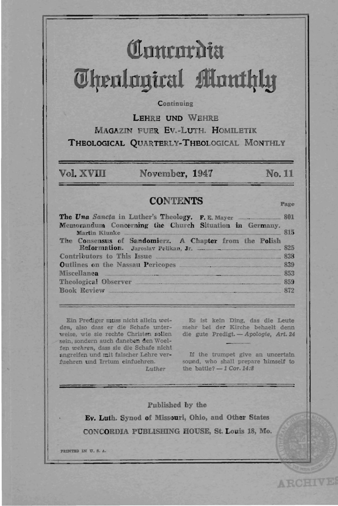# Comrordia *<u>Uhenlogical Monthly</u>*

#### **Continuing**

LEHRE UND WEHRE MAGAZIN FUER EV.-LUTH. HOMILETIK THEOLOGICAL QUARTERLY. THEOLOGICAL MONTHLY

Vol. XVIII November, 1947 No. 11

### CONTENTS Page

**ARCHIVE** 

| <b>The Una</b> Sancta in Luther's Theology. F.E. Mayer 301<br>Memorandum Concerning the Church Situation in Germany.<br><b>Martin Kiunke</b> 815 |  |
|--------------------------------------------------------------------------------------------------------------------------------------------------|--|
| The Consensus of Sandomierz. A Chapter from the Polish                                                                                           |  |
| Contributors to This Issue                                                                                                                       |  |
| <b>Outlines on the Nassau Pericopes</b>                                                                                                          |  |
|                                                                                                                                                  |  |
|                                                                                                                                                  |  |
| Miscellanea 853<br>Theological Observer 359                                                                                                      |  |

Eln Prediger muss nlcht allein *wet*den, also dass er die Schafe unterweise, wle sie rechte Christen sollen sein, sondern auch daneben den Woelfen wehren, dass sie die Schafe nicht angreifen und mit falscher Lehre verfuehren und Irrtum elnfuehren.

*Luther* 

Es 1st keln Ding, das die Leute mehr bel der Klrche behaeIt denn die gute Predigt. - *Apologie*, Art. 24

If the trumpet give an uncertain sound. who shall prepare himself to the battle?  $-1$  Cor. 14:8

#### Published by the

Ev. Luth. Synod of Missouri, Ohio, and Other States CONCORDIA PUBLISHING HOUSE, St. Louis 18, Mo.

**PRINTED IN U.S.A.** 

I i  $\overline{\phantom{a}}$ I.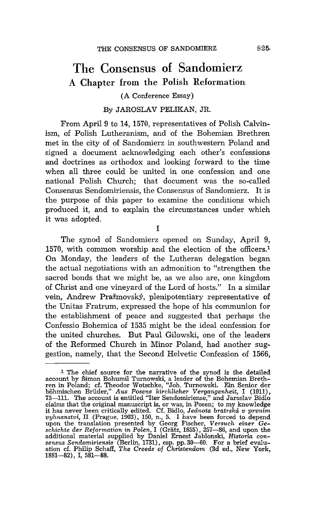## The Consensus **of** Sandomierz A Chapter from the Polish Reformation.

(A Conference Essay)

#### By JAROSLAV PELIKAN, JR.

From April 9 to 14, 1570, representatives of Polish Calvinism, of Polish Lutheranism, and of the Bohemian Brethren met in the city of of Sandomierz in southwestern Poland and signed a document acknowledging each other's confessions and doctrines as orthodox and looking forward to the time when all three could be united in one confession and one national Polish Church; that document was the so-called Consensus Sendomiriensis, the Consensus of Sandomierz. It is the purpose of this paper to examine the conditions which produced it, and to explain the circumstances under which it was adopted.

I

The synod of Sandomierz opened on Sunday, April 9, 1570, with common worship and the election of the officers.1 On Monday, the leaders of the Lutheran delegation began the actual negotiations with an admonition to "strengthen the sacred bonds that we might be, as we also are, one kingdom of Christ and one vineyard of the Lord of hosts." In a similar vein, Andrew Prazmovsky, plenipotentiary representative of the Unitas Fratrum, expressed the hope of his communion for the establishment of peace and suggested that perhaps the Confessio Bohemica of 1535 might be the ideal confession for the united churches. But Paul Gilowski, one of the leaders of the Reformed Church in Minor Poland, had another suggestion, namely, that the Second Helvetic Confession of 1566,

<sup>1</sup>The chief source for the narrative of the synod is the detailed account by Simon Bohumil Turnowski, a leader of the Bohemian Breth- ren in Poland; cf. Theodor Wotschke, "Joh. Turnowski. Ein Senior der böhmischen Brüder," Aus Posens kirchlicher Vergangenheit, I (1911), 73—111. The account is entitled "Iter Sendomiriense," and Jaroslav Bidlo claims that the original manuscript is, or was, in Posen; to my knowledge it has upon the translation presented by Georg Fischer, *Versuch einer Ge-schichte der Reformation in Polen,* I (Gratz, 1855), 257-86, and upon the additional material supplied by Daniel Ernest Jablonski, *Historia con- sensus Sendomiriensis* (Berlin, 1731), esp. pp.39-60. For a brief evaluation cf. Philip Schaff, *The Creeds of Christendom* (3d ed., New York, 1881-82), I, 581-88.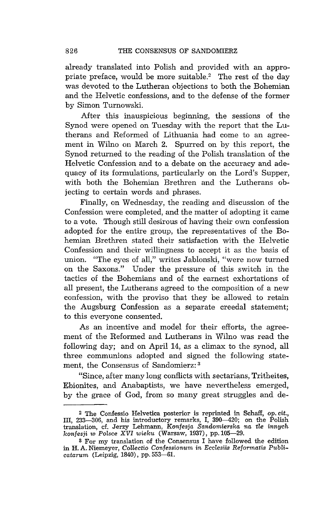already translated into Polish and provided with an appropriate preface, would be more suitable.<sup>2</sup> The rest of the day was devoted to the Lutheran objections to both the Bohemian and the Helvetic confessions, and to the defense of the former by Simon Turnowski.

After this inauspicious beginning, the sessions of the Synod were opened on Tuesday with the report that the Lutherans and Reformed of Lithuania had come to an agreement in Wilno on March 2. Spurred on by this report, the Synod returned to the reading of the Polish translation of the Helvetic Confession and to a debate on the accuracy and adequacy of its formulations, particularly on the Lord's Supper, with both the Bohemian Brethren and the Lutherans objecting to certain words and phrases.

Finally, on Wednesday, the reading and discussion of the Confession were completed, and the matter of adopting it came to a vote. Though still desirous of having their own confession adopted for the entire group, the representatives of the Bohemian Brethren stated their satisfaction with the Helvetic Confession and their willingness to accept it as the basis of union. "The eyes of all," writes Jablonski, "were now turned on the Saxons." Under the pressure of this switch in the tactics of the Bohemians and of the earnest exhortations of all present, the Lutherans agreed to the composition of a new confession, with the proviso that they be allowed to retain the Augsburg Confession as a separate creedal statement; to this everyone consented.

As an incentive and model for their efforts, the agreement of the Reformed and Lutherans in Wilno was read the following day; and on April 14, as a climax to the synod, all three communions adopted and signed the following statement, the Consensus of Sandomierz: 3

"Since, after many long conflicts with sectarians, Tritheites, Ebionites, and Anabaptists, we have nevertheless emerged, by the grace of God, from so many great struggles and de-

<sup>2</sup> The Confessio Helvetica posterior is reprinted in Schaff, op. cit., III, 233-306, and his introductory remarks, I, 390-420; on the Polish translation, cf. Jerzy Lehmann, *Konfesja Sandomierska na* tle *innych konfesji w Polsce XVI wieku* (Warsaw, 1937), pp.105-29.

<sup>3</sup> For my translation of the Consensus I have followed the edition in H. A. Niemeyer, *CoUectio Confessionum in Ecclesiis Reformatis Publicatarum* (Leipzig, 1840), pp.553-61.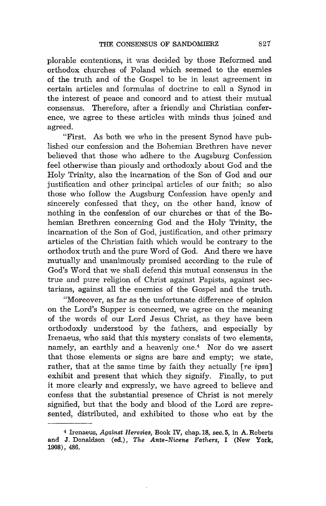plorable contentions, it was decided by those Reformed and orthodox churches of Poland which seemed to the enemies of the truth and of the Gospel to be in least agreement in certain articles and formulas of doctrine to call a Synod in the interest of peace and concord and to attest their mutual consensus. Therefore, after a friendly and Christian conference, we agree to these articles with minds thus joined and agreed.

"First. As both we who in the present Synod have published our confession and the Bohemian Brethren have never believed that those who adhere to the Augsburg Confession feel otherwise than piously and orthodoxly about God and the Holy Trinity, also the incarnation of the Son of God and our justification and other principal articles of our faith; so also those who follow the Augsburg Confession have openly and sincerely confessed that they, on the other hand, know of nothing in the confession of our churches or that of the Bohemian Brethren concerning God and the Holy Trinity, the incarnation of the Son of God, justification, and other primary articles of the Christian faith which would be contrary to the orthodox·truth and the pure Word of God. And there we have mutually and unanimously promised according to the rule of God's Word that we shall defend this mutual consensus in the true and pure religion of Christ against Papists, against sectarians, against all the enemies of the Gospel and the truth.

"Moreover, as far as the unfortunate difference of opinion on the Lord's Supper is concerned, we agree on the meaning of the words of our Lord Jesus Christ, as they have been orthodoxly understood by the fathers, and especially by Irenaeus, who said that this mystery consists of two elements, namely, an earthly and a heavenly one.<sup>4</sup> Nor do we assert that those elements or signs are bare and empty; we state, rather, that at the same time by faith they actually *re ipsa*? exhibit and present that which they signify. Finally, to put it more clearly and expressly, we have agreed to believe and confess that the substantial presence of Christ is not merely signified, but that the body and blood of the Lord are represented, distributed, and exhibited to those who eat by the

<sup>4</sup> Irenaeus, *Against Heresies,* Book IV, chap. 18, sec. 5, in A. Roberts and J. Donaldson (ed.), The Ante-Nicene Fathers, I (New York, 1908), 486.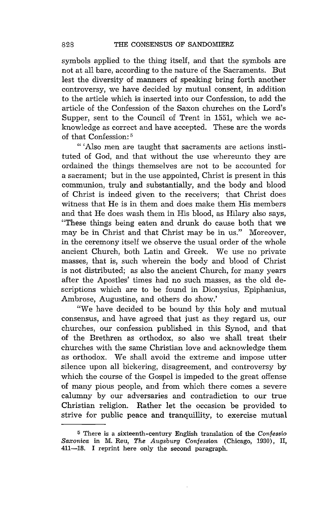symbols applied to the thing itself, and that the symbols are not at all bare, according to the nature of the Sacraments. But lest the diversity of manners of speaking bring forth another controversy, we have decided by mutual consent, in addition to the article which is inserted into our Confession, to add the article of the Confession of the Saxon churches on the Lord's Supper, sent to the Council of Trent in 1551, which we acknowledge as correct and have accepted. These are the words of that Confession: 5

" 'Also men are taught that sacraments are actions instituted of God, and that without the use whereunto they are ordained the things themselves are not to be accounted for a sacrament; but in the use appointed, Christ is present in this communion, truly and substantially, and the body and blood of Christ is indeed given to the receivers; that Christ does witness that He is in them and does make them His members and that He does wash them in His blood, as Hilary also says, "These things being eaten and drunk do cause both that we may be in Christ and that Christ may be in us." Moreover, in the ceremony itself we observe the usual order of the whole ancient Church, both Latin and Greek. We use no private masses, that is, such wherein the body and blood of Christ is not distributed; as also the ancient Church, for many years after the Apostles' times had no such masses, as the old descriptions which are to be found in Dionysius, Epiphanius, Ambrose, Augustine, and others do show.'

"We have decided to be bound by this holy and mutual consensus, and have agreed that just as they regard us, our churches, our confession published in this Synod, and that of the Brethren as orthodox, so also we shall treat their churches with the same Christian love and acknowledge them as orthodox. We shall avoid the extreme and impose utter silence upon all bickering, disagreement, and controversy by which the course of the Gospel is impeded to the great offense of many pious people, and from which there comes a severe calumny by our adversaries and contradiction to our true Christian religion. Rather let the occasion be provided to strive for public peace and tranquillity, to exercise mutual

<sup>5</sup> There is a sixteenth-century English translation of the *Confessio Saxonica* in M. Reu, *The Augsburg Confession* (Chicago, 1930), II, 411-18. I reprint here only the second paragraph.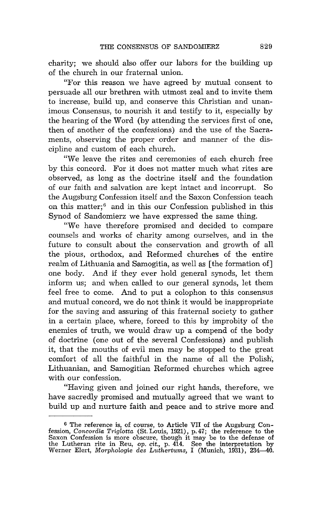charity; we should also offer our labors for the building up of the church in our fraternal union.

"For this reason we have agreed by mutual consent to persuade all our brethren with utmost zeal and to invite them to increase, build up, and conserve this Christian and unanimous Consensus, to nourish it and testify to it, especially by the hearing of the Word (by attending the services first of one, then of another of the confessions) and the use of the Sacraments, observing the proper order and manner of the discipline and custom of each church.

"We leave the rites and ceremonies of each church free by this concord. For it does not matter much what rites are observed, as long as the doctrine itself and the foundation of our faith and salvation are kept intact and incorrupt. So the Augsburg Confession itself and the Saxon Confession teach on this matter;6 and in this our Confession published in this Synod of Sandomierz we have expressed the same thing.

"We have therefore promised and decided to compare counsels and works of charity among ourselves, and in the future to consult about the conservation and growth of all the pious, orthodox, and Reformed churches of the entire realm of Lithuania and Samogitia, as well as [the formation of] one body. And if they ever hold general synods, let them inform us; and when called to our general synods, let them feel free to come. And to put a colophon to this consensus and mutual concord, we do not think it would be inappropriate for the saving and assuring of this fraternal society to gather in a certain place, where, forced to this by improbity of the enemies of truth, we would draw up a compend of the body of doctrine (one out of the several Confessions) and publish it, that the mouths of evil men may be stopped to the great comfort of all the faithful in the name of all the Polish; Lithuanian, and Samogitian Reformed churches which agree with our confession.

"Having given and joined our right hands, therefore, we have sacredly promised and mutually agreed that we want to build up and nurture faith and peace and to strive more and

<sup>6</sup> The reference is, of course, to Article VII of the Augsburg Confession, Concordia Triglotta (St. Louis, 1921), p. 47; the reference to the Saxon Confession is more obscure, though it may be to the defense of the Lutheran rite in Reu, op. cit., p. 414. See the interpretation by Werner Elert, *Morphologie des L'Uthert'Ums,* I (Munich, 1931), 234-40.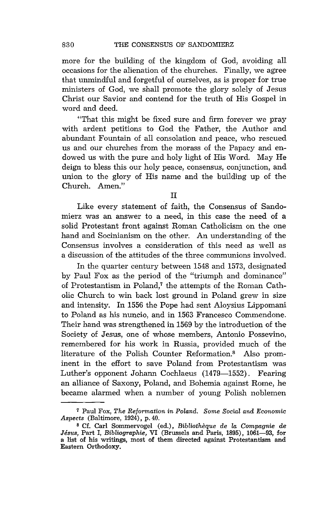more for the building of the kingdom of God, avoiding all occasions for the alienation of the churches. Finally, we agree that unmindful and forgetful of ourselves, as is proper for true ministers of God, we shall promote the glory solely of Jesus Christ our Savior and contend for the truth of His Gospel in word and deed.

"That this might be fixed sure and firm forever we pray with ardent petitions to God the Father, the Author and abundant Fountain of all consolation and peace, who rescued us and our churches from the morass of the Papacy and endowed us with the pure and holy light of His Word. May He deign to bless this our holy peace, consensus, conjunction, and union to the glory of His name and the building up of the Church. Amen."

II

Like every statement of faith, the Consensus of Sandomierz was an answer to a need, in this case the need of a solid Protestant front against Roman Catholicism on the one hand and Socinianism on the other. An understanding of the Consensus involves a consideration of this need as well as a discussion of the attitudes of the three communions involved.

In the quarter century between 1548 and 1573, designated by Paul Fox as the period of the "triumph and dominance" of Protestantism in Poland,7 the attempts of the Roman Catholic Church to win back lost ground in Poland grew in size and intensity. In 1556 the Pope had sent Aloysius Lippomani to Poland as his nuncio, and in 1563 Francesco Commendone. Their hand was strengthened in 1569 by the introduction of the Society of Jesus, one of whose members, Antonio Possevino, remembered for his work in Russia, provided much of the literature of the Polish Counter Reformation.8 Also prominent in the effort to save Poland from Protestantism was Luther's opponent Johann Cochlaeus (1479-1552). Fearing an alliance of Saxony, Poland, and Bohemia against Rome, he became alarmed when a number of young Polish noblemen

<sup>&#</sup>x27;; Paul Fox, *The Reformation in Poland. Some Social and Economic Aspects* (Baltimore, 1924), p.40.

<sup>8</sup> Cf. Carl Sommervogel (ed.) , *Bibliotheque* de *Ia Compagnie* de *Jésus, Part I, Bibliographie, VI (Brussels and Paris, 1895), 1061—93, for a list of his writings, most of them directed against Protestantism and* Eastern Orthodoxy.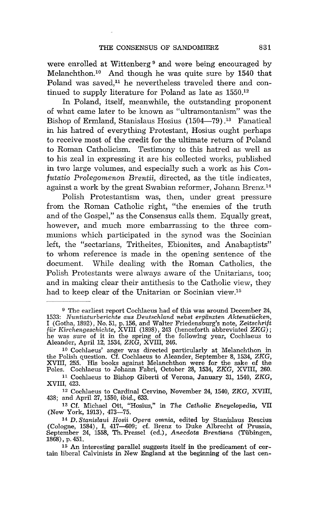were enrolled at Wittenberg<sup>9</sup> and were being encouraged by Melanchthon.10 And though he was quite sure by 1540 that Poland was saved, $11$  he nevertheless traveled there and continued to supply literature for Poland as late as 1550.12

In Poland, itself, meanwhile, the outstanding proponent of what came later to be known as "ultramontanism" was the Bishop of Ermland, Stanislaus Hosius  $(1504-79)$ .<sup>13</sup> Fanatical in his hatred of everything Protestant, Hosius ought perhaps to receive most of the credit for the ultimate return of Poland to Roman Catholicism. Testimony to this hatred as well as to his zeal in expressing it are his collected works, published in two large volumes, and especially such a work as his *Contutatio Prolegomenon Brentii,* directed, as the title indicates, against a work by the great Swabian reformer, Johann Brenz.14

Polish Protestantism was, then, under great pressure from the Roman Catholic right, "the enemies of the truth and of the Gospel," as the Consensus calls them. Equally great, however, and much more embarrassing to the three communions which participated in the synod was the Socinian left, the "sectarians, Tritheites, Ebionites, and Anabaptists" to whom reference is made in the opening sentence of the document. While dealing with the Roman Catholics, the Polish Protestants were always aware of the Unitarians, too; and in making clear their antithesis to the Catholic view, they had to keep clear of the Unitarian or Socinian view.15

<sup>9</sup> The earliest report Cochlaeus had of this was around December 24, *1533: Nuntiaturberichte aus Deutschland nebst ergiinzten Aktenstucken,*  I (Gotha, 1892), No. 51, p. 156, and Walter Friedensburg's note, Zeitschrift<br>für Kirchengeschichte, XVIII (1898), 243 (henceforth abbreviated ZKG);<br>he was sure of it in the spring of the following year, Cochlaeus to Aleander, April 12, 1534, *ZKG,* XVIII, 246.

<sup>10</sup> Cochlaeus' anger was directed particularly at Melanchthon in the Polish question. Cf. Cochlaeus to Aleander, September 8, 1534, *ZKG,*  XVIII, 255. His books against Melanchthon were for the sake of the Poles. Cochlaeus to Johann Fabri, October 28, 1534, *ZKG,* XVIII, 260.

<sup>11</sup> Cochlaeus to Bishop Giberti of Verona, January 31, 1540, *ZKG,*  XVIII, 423.

<sup>12</sup> Cochlaeus to Cardinal Cervino, November 24, 1540, *ZKG,* XVIII, 438; and April 27, 1550, ibid., 633.

<sup>13</sup> Cf. Michael Ott, "Hosius," in *The Catholic Encyclopedia,* VII (New York, 1913), 473-75.

<sup>14</sup> D. *Stanislaui Hosii Opera omnia,* edited by Stanislaus Rescius (Cologne, 1584), I, 417-609; cf. Brenz to Duke Albrecht of Prussia, September 24, 1558, Th. Pressel (ed.), *Anecdota Brentiana* (Tiibingen, 1868), p. 451.

<sup>15</sup> An interesting parallel suggests itself in the predicament of cer- tain liberal Calvinists in New England at the beginning of the last cen-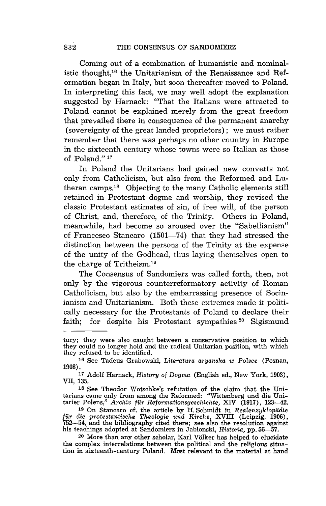Coming out of a combination of humanistic and nominalistic thought,16 the Unitarianism of the Renaissance and Reformation began in Italy, but soon thereafter moved to Poland. In interpreting this fact, we may well adopt the explanation suggested by Harnack: "That the Italians were attracted to Poland cannot be explained merely from the great freedom that prevailed there in consequence of the permanent anarchy (sovereignty of the great landed proprietors); we must rather remember that there was perhaps no other country in Europe in the sixteenth century whose towns were so Italian as those of Poland." 17

In Poland the Unitarians had gained new converts not only from Catholicism, but also from the Reformed and Lutheran camps.1S Objecting to the many Catholic elements still retained in Protestant dogma and worship, they revised the classic Protestant estimates of sin, of free will, of the person of Christ, and, therefore, of the Trinity. Others in Poland, meanwhile, had become so aroused over the "Sabellianism" of Francesco Stancaro (1501-74) that they had stressed the distinction between the persons of the Trinity at the expense of the unity of the Godhead, thus laying themselves open to the charge of Tritheism.19

The Consensus of Sandomierz was called forth, then, not only by the vigorous counterreformatory activity of Roman Catholicism, but also by the embarrassing presence of Socinianism and Unitarianism. Both these extremes made it politically necessary for the Protestants of Poland to declare their faith; for despite his Protestant sympathies  $20$  Sigismund

tury; they were also caught between a conservative position to which they could no longer hold and the radical Unitarian position, with which they refused to be identified.

<sup>16</sup> See Tadeus Grabowski, *Literatura aryanska w Polsce* (Posnan, 1908).

<sup>17</sup> Adolf Harnack, *History of Dogma* (English ed., New York, 1903), VII, 135.

<sup>18</sup> See Theodor Wotschke's refutation of the claim that the Unitarians came only from among the Reformed: "Wittenberg und die Unitarier Polens," Archiv für Reformationsgeschichte, XIV (1917), 123-42.

<sup>19</sup> On Stancaro cf. the article by H. Schmidt in *Realenzyklopiidie fur die protestantische Theologie und Kirche,* XVIII (Leipzig, 1906), 752-54, and the bibliography cited there; see also the resolution against his teachings adopted at Sandomierz in Jablonski, *Historia,* pp.56-57.

<sup>20</sup> More than any other scholar, Karl Volker has helped to elucidate the complex interrelations between the political and the religious situation in sixteenth-century Poland. Most relevant to the material at hand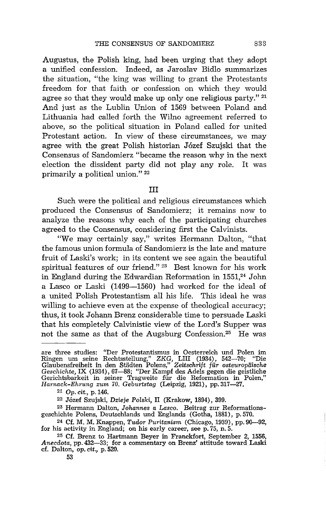Augustus, the Polish king, had been urging that they adopt a unified confession. Indeed, as Jaroslav Bidlo summarizes the situation, "the king was willing to grant the Protestants freedom for that faith or confession on which they would agree so that they would make up only one religious party." 21 And just as the Lublin Union of 1569 between Poland and Lithuania had called forth the Wilno agreement referred to above, so the political situation in Poland called for united Protestant action. In view of these circumstances, we may agree with the great Polish historian J6zef Szujski that the Consensus of Sandomierz "became the reason why in the next election the dissident party did not play any role. It was primarily a political union." 22

#### III

Such were the political and religious circumstances which produced the Consensus of Sandomierz; it remains now to analyze the reasons why each of the participating churches agreed to the Consensus, considering first the Calvinists.

"We may certainly say," writes Hermann Dalton, "that the famous union formula of Sandomierz is the late and mature fruit of Laski's work; in its content we see again the beautiful spiritual features of our friend." 23 Best known for his work in England during the Edwardian Reformation in 1551,<sup>24</sup> John a Lasco or Laski (1499-1560) had worked for the ideal of a united Polish Protestantism all his life. This ideal he was willing to achieve even at the expense of theological accuracy; thus, it took Johann Brenz considerable time to persuade Laski that his completely Calvinistic view of the Lord's Supper was not the same as that of the Augsburg Confession.<sup>25</sup> He was

are three studies: "Der Protestantismus in Oesterreich und Polen im<br>Ringen um seine Rechtsstellung," ZKG, LIII (1934), 542—70; "Die<br>Glaubensfreiheit in den Städten Polens," Zeitschrift für osteuropäische<br>Geschichte, IX (19 Gerichtsbarkeit in seiner Tragweite fur die Reformation in Polen," *Harnack-Ehrung zum 70. Geburtstag* (Leipzig, 1921), pp.317-27.

*<sup>21</sup>* Op. cit., p.146.

<sup>&</sup>lt;sup>22</sup> Józef Szujski, *Dzieje Polski*, II (Krakow, 1894), 399.

<sup>23</sup> Hermann Dalton, *Johannes a Lasco.* Beitrag zur Reformationsgeschichte Polens, Deutschlands und Englands (Gotha, 1881), p.570.

<sup>24</sup> Cf. M. M. Knappen, *Tudor Puritanism* (Chicago, 1939), pp. 90-92, for his activity in England; on his early career, see p.75, n.5.

<sup>25</sup> Cf. Brenz to Hartmann Beyer in Franckfort, September 2, 1556, *Anecdota,* pp. 432-33; for a commentary on Brenz' attitude toward Laski  $cf.$  Dalton,  $op. cit., p. 520.$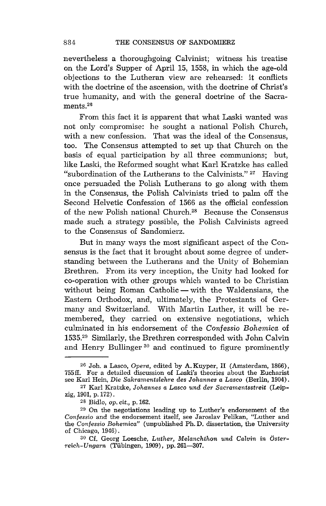nevertheless a thoroughgoing Calvinist; witness his treatise on the Lord's Supper of April 15, 1558, in which the age-old objections to the Lutheran view are rehearsed: it conflicts with the doctrine of the ascension, with the doctrine of Christ's true humanity, and with the general doctrine of the Sacraments.<sup>26</sup>

From this fact it is apparent that what Laski wanted was not only compromise: he sought a national Polish Church, with a new confession. That was the ideal of the Consensus, too. The Consensus attempted to set up that Church on the basis of equal participation by all three communions; but, like Laski, the Reformed sought what Karl Kratzke has called "subordination of the Lutherans to the Calvinists."  $27$  Having once persuaded the Polish Lutherans to go along with them in the Consensus, the Polish Calvinists tried to palm off the Second Helvetic Confession of 1566 as the official confession of the new Polish national Church.28 Because the Consensus made such a strategy possible, the Polish Calvinists agreed to the Consensus of Sandomierz.

But in many ways the most significant aspect of the Consensus is the fact that it brought about some degree of understanding between the Lutherans and the Unity of Bohemian Brethren. From its very inception, the Unity had looked for co-operation with other groups which wanted to be Christian without being Roman Catholic  $-$  with the Waldensians, the Eastern Orthodox, and, ultimately, the Protestants of Germany and Switzerland. With Martin Luther, it will be remembered, they carried on extensive negotiations, which culminated in his endorsement of the *Confessio Bohemica* of 1535.29 Similarly, the Brethren corresponded with John Calvin and Henry Bullinger 30 and continued to figure prominently

<sup>&</sup>lt;sup>26</sup> Joh. a Lasco, *Opera*, edited by A. Kuyper, II (Amsterdam, 1866), 755ff. For a detailed discussion of Laski's theories about the Eucharist see Karl Hein, *Die Sakramentslehre des Johannes a* Lasco (Berlin, 1904).

<sup>27</sup> Karl Kratzke, *Johannes a* Lasco *und der Sacraments streit* (Leipzig, 1901, p. 172) .

<sup>28</sup> Bidlo, *op.* cit., p.162.

<sup>29</sup> On the negotiations leading up to Luther's endorsement of the *Confessio* and the endorsement itself, see Jaroslav Pelikan, "Luther and the *Confessio Bohemica"* (unpublished Ph. D. dissertation, the University of Chicago, 1946).

<sup>30</sup> Cf. Georg Loesche, *Luther, Melanchthon und Calvin in 6sterreich-Ungarn* (Tübingen, 1909), pp. 261-307.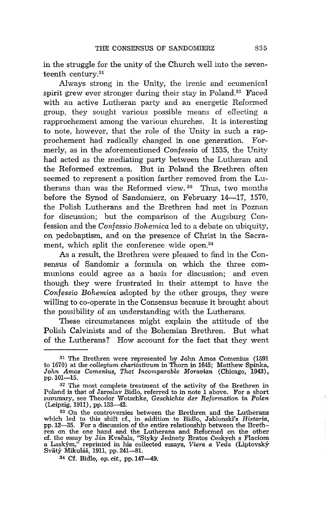in the struggle for the unity of the Church well into the seventeenth century.31

Always strong in the Unity, the irenic and ecumenical spirit grew ever stronger during their stay in Poland.<sup>32</sup> Faced with an active Lutheran party and an energetic Reformed group, they sought various possible means of effecting a rapprochement among the various churches. It is interesting to note, however, that the role of the Unity in such a rapprochement had radically changed in one generation. Formerly, as in the aforementioned *Confessio* of 1535, the Unity had acted as the mediating party between the Lutheran and the Reformed extremes. But in Poland the Brethren often seemed to represent a position farther removed from the Lutherans than was the Reformed view. 33 Thus, two months before the Synod of Sandomierz, on February 14-17, 1570, the Polish Lutherans and the Brethren had met in Poznan for discussion; but the comparison of the Augsburg Confession and the *Confessio Bohemica* led to a debate on ubiquity, on pedobaptism, and on the presence of Christ in the Sacrament, which split the conference wide open.<sup>34</sup>

As a result, the Brethren were pleased to find in the Consensus of Sandomir a formula on which the three communions could agree as a basis for discussion; and even though they were frustrated in their attempt to have the *Confessio Bohemica* adopted by the other groups, they were willing to co-operate in the Consensus because it brought about the possibility of an understanding with the Lutherans.

These circumstances might explain the attitude of the Polish Calvinists and of the Bohemian Brethren. But what of the Lutherans? How account for the fact that they went

<sup>31</sup> The Brethren were represented by John Amos Comenius (1591 to 1670) at the *collegium charitativum* in Thorn in 1645; Matthew Spinka, *John Amos Comenius, That Incomparable Moravian* (Chicago, 1943), pp.101-15.

<sup>32</sup> The most complete treatment of the activity of the Brethren in Poland is that of Jaroslav Bidlo, referred to in note 1 above. For a short summary, see Theodor Wotschke, *Geschichte der Reformation in Polen*  (Leipzig, 1911), pp. 133-43.

<sup>33</sup> On the controversies between the Brethren and the Lutherans which led to this shift cf., in addition to Bidlo, Jablonski's *Historia*, pp. 12–35. For a discussion of the entire relationship between the Brethpp.12--35. For a discussion of the entire relationship between the Breth- ren on the one hand and the Lutherans and Reformed on the other d. the essay by Jan Kvacala, "Styky Jednoty Bratos ceskych s Flaciom a LaskYm," reprinted in his collected essays, *Viera a Veda* (Liptovsky Svätý Mikuláš, 1911, pp. 241–81.

<sup>&</sup>lt;sup>34</sup> Cf. Bidlo, op. cit., pp. 147-49.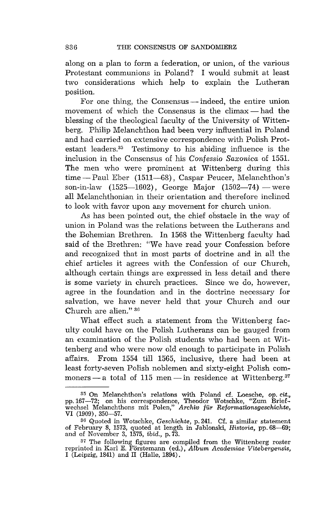along on a plan to form a federation, or union, of the various Protestant communions in Poland? I would submit at least two considerations which help to explain the Lutheran position.

For one thing, the Consensus - indeed, the entire union movement of which the Consensus is the climax - had the blessing of the theological faculty of the University of Wittenberg. Philip Melanchthon had been very influential in Poland and had carried on extensive correspondence with Polish Protestant leaders.35 Testimony to his abiding influence is the inclusion in the Consensus of his *Confessio Saxonica* of 1551. The men who were prominent at Wittenberg during this time - Paul Eber (1511-68), Caspar Peucer, Melanchthon's son-in-law  $(1525-1602)$ , George Major  $(1502-74)$  -were all Melanchthonian in their orientation and therefore inclined to look with favor upon any movement for church union.

As has been pointed out, the chief obstacle in the way of union in Poland was the relations between the Lutherans and the Bohemian Brethren. In 1568 the Wittenberg faculty had said of the Brethren: "We have read your Confession before and recognized that in most parts of doctrine and in all the chief articles it agrees with the Confession of our Church, although certain things are expressed in less detail and there is some variety in church practices. Since we do, however, agree in the foundation and in the doctrine necessary for salvation, we have never held that your Church and our Church are alien." 36

What effect such a statement from the Wittenberg faculty could have on the Polish Lutherans can be gauged from an examination of the Polish students who had been at Wittenberg and who were now old enough to participate in Polish affairs. From 1554 till 1565, inclusive, there had been at least forty-seven Polish noblemen and sixty-eight Polish commoners - a total of 115 men - in residence at Wittenberg.<sup>37</sup>

<sup>35</sup> On Melanchthon's relations with Poland cf. Loesche, op. *cit.,*  pp.167-72; on his correspondence, Theodor Wotschke, "Zum Briefwechsel Melanchthons mit Polen," *Archiv fur Reformationsgeschichte,*  VI (1909), 350-57.

<sup>36</sup> Quoted in Wotschke, *Geschichte,* p.241. Cf. a similar statement of February 8, 1573, quoted at length in Jablonski, *Historia,* pp.68-69; and of November 3, 1575, *ibid.,* p.73.

<sup>&</sup>lt;sup>37</sup> The following figures are compiled from the Wittenberg roster reprinted in Karl E. Forstemann (ed.), *Album Academiae Vitebergensis,*  I (Leipzig, 1841) and II (Halle,  $1894$ ).